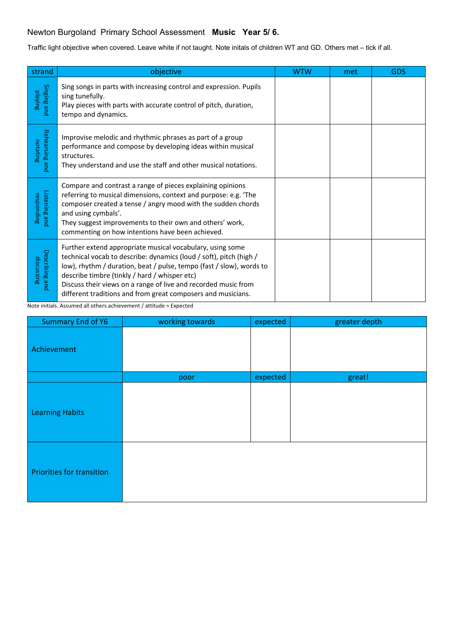## Newton Burgoland Primary School Assessment **Music Year 5/ 6.**

Traffic light objective when covered. Leave white if not taught. Note initals of children WT and GD. Others met – tick if all.

| strand                       | objective                                                                                                                                                                                                                                                                                                                                                                                  | <b>WTW</b> | met | <b>GDS</b> |
|------------------------------|--------------------------------------------------------------------------------------------------------------------------------------------------------------------------------------------------------------------------------------------------------------------------------------------------------------------------------------------------------------------------------------------|------------|-----|------------|
| Singing and<br>playing       | Sing songs in parts with increasing control and expression. Pupils<br>sing tunefully.<br>Play pieces with parts with accurate control of pitch, duration,<br>tempo and dynamics.                                                                                                                                                                                                           |            |     |            |
| Rehearsing and<br>notating   | Improvise melodic and rhythmic phrases as part of a group<br>performance and compose by developing ideas within musical<br>structures.<br>They understand and use the staff and other musical notations.                                                                                                                                                                                   |            |     |            |
| Listening and<br>responding  | Compare and contrast a range of pieces explaining opinions<br>referring to musical dimensions, context and purpose: e.g. 'The<br>composer created a tense / angry mood with the sudden chords<br>and using cymbals'.<br>They suggest improvements to their own and others' work,<br>commenting on how intentions have been achieved.                                                       |            |     |            |
| Describing and<br>discussing | Further extend appropriate musical vocabulary, using some<br>technical vocab to describe: dynamics (loud / soft), pitch (high /<br>low), rhythm / duration, beat / pulse, tempo (fast / slow), words to<br>describe timbre (tinkly / hard / whisper etc)<br>Discuss their views on a range of live and recorded music from<br>different traditions and from great composers and musicians. |            |     |            |

Note initials. Assumed all others achievement / attitude = Expected

| <b>Summary End of Y6</b>         | working towards | expected | greater depth |
|----------------------------------|-----------------|----------|---------------|
| Achievement                      |                 |          |               |
|                                  | poor            | expected | great!        |
| <b>Learning Habits</b>           |                 |          |               |
| <b>Priorities for transition</b> |                 |          |               |